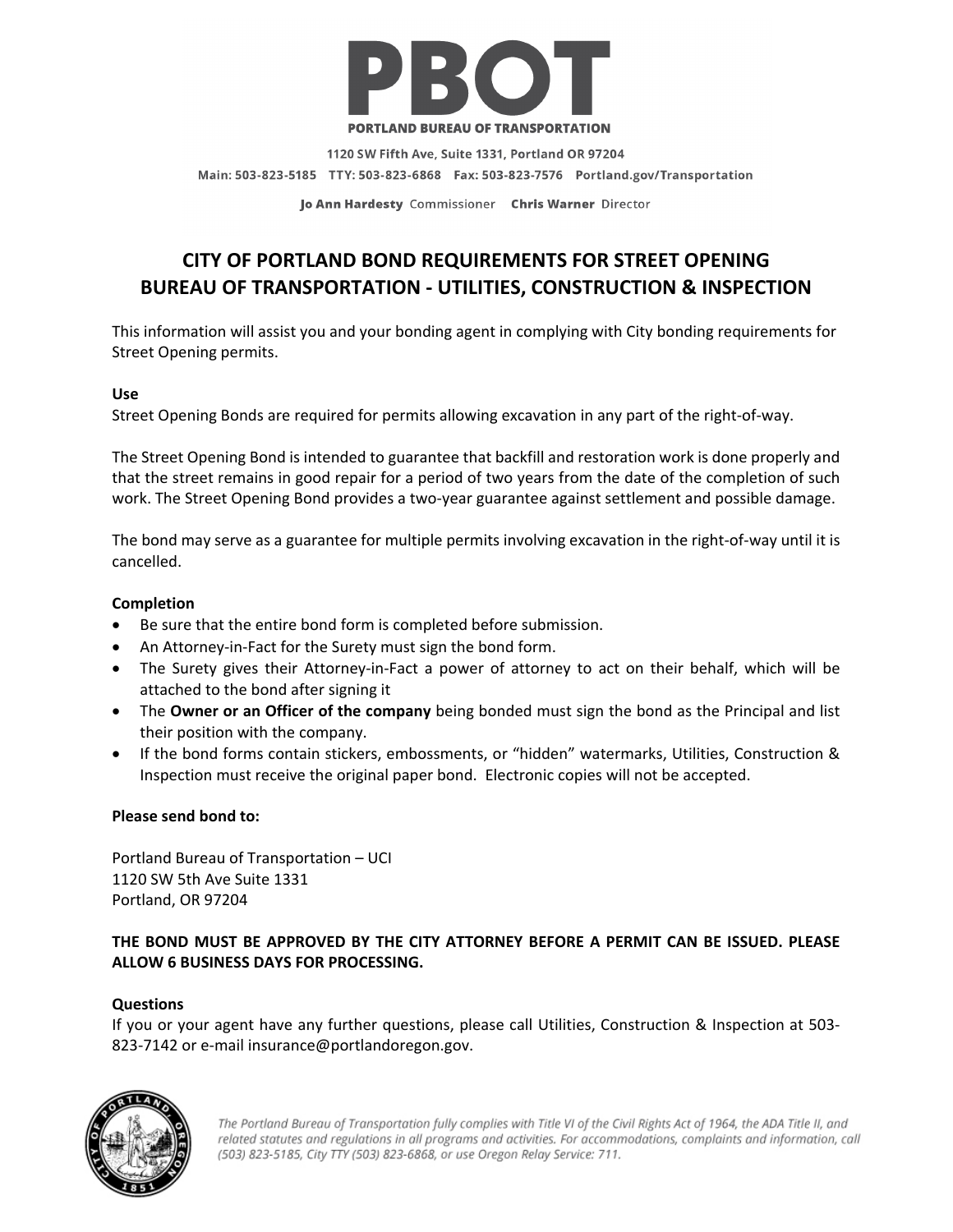

1120 SW Fifth Ave, Suite 1331, Portland OR 97204 Main: 503-823-5185 TTY: 503-823-6868 Fax: 503-823-7576 Portland.gov/Transportation

Jo Ann Hardesty Commissioner Chris Warner Director

# **CITY OF PORTLAND BOND REQUIREMENTS FOR STREET OPENING BUREAU OF TRANSPORTATION ‐ UTILITIES, CONSTRUCTION & INSPECTION**

This information will assist you and your bonding agent in complying with City bonding requirements for Street Opening permits.

#### **Use**

Street Opening Bonds are required for permits allowing excavation in any part of the right‐of‐way.

The Street Opening Bond is intended to guarantee that backfill and restoration work is done properly and that the street remains in good repair for a period of two years from the date of the completion of such work. The Street Opening Bond provides a two-year guarantee against settlement and possible damage.

The bond may serve as a guarantee for multiple permits involving excavation in the right-of-way until it is cancelled.

#### **Completion**

- Be sure that the entire bond form is completed before submission.
- An Attorney‐in‐Fact for the Surety must sign the bond form.
- The Surety gives their Attorney-in-Fact a power of attorney to act on their behalf, which will be attached to the bond after signing it
- The **Owner or an Officer of the company** being bonded must sign the bond as the Principal and list their position with the company.
- If the bond forms contain stickers, embossments, or "hidden" watermarks, Utilities, Construction & Inspection must receive the original paper bond. Electronic copies will not be accepted.

#### **Please send bond to:**

Portland Bureau of Transportation – UCI 1120 SW 5th Ave Suite 1331 Portland, OR 97204

### **THE BOND MUST BE APPROVED BY THE CITY ATTORNEY BEFORE A PERMIT CAN BE ISSUED. PLEASE ALLOW 6 BUSINESS DAYS FOR PROCESSING.**

#### **Questions**

If you or your agent have any further questions, please call Utilities, Construction & Inspection at 503‐ 823-7142 or e-mail insurance@portlandoregon.gov.